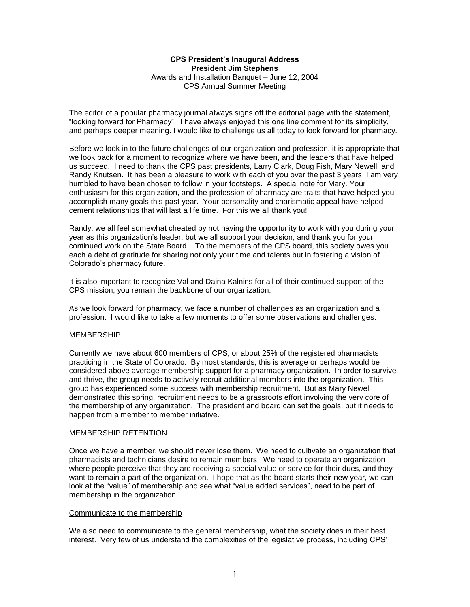## **CPS President's Inaugural Address President Jim Stephens** Awards and Installation Banquet – June 12, 2004 CPS Annual Summer Meeting

The editor of a popular pharmacy journal always signs off the editorial page with the statement, "looking forward for Pharmacy". I have always enjoyed this one line comment for its simplicity, and perhaps deeper meaning. I would like to challenge us all today to look forward for pharmacy.

Before we look in to the future challenges of our organization and profession, it is appropriate that we look back for a moment to recognize where we have been, and the leaders that have helped us succeed. I need to thank the CPS past presidents, Larry Clark, Doug Fish, Mary Newell, and Randy Knutsen. It has been a pleasure to work with each of you over the past 3 years. I am very humbled to have been chosen to follow in your footsteps. A special note for Mary. Your enthusiasm for this organization, and the profession of pharmacy are traits that have helped you accomplish many goals this past year. Your personality and charismatic appeal have helped cement relationships that will last a life time. For this we all thank you!

Randy, we all feel somewhat cheated by not having the opportunity to work with you during your year as this organization's leader, but we all support your decision, and thank you for your continued work on the State Board. To the members of the CPS board, this society owes you each a debt of gratitude for sharing not only your time and talents but in fostering a vision of Colorado's pharmacy future.

It is also important to recognize Val and Daina Kalnins for all of their continued support of the CPS mission; you remain the backbone of our organization.

As we look forward for pharmacy, we face a number of challenges as an organization and a profession. I would like to take a few moments to offer some observations and challenges:

# **MEMBERSHIP**

Currently we have about 600 members of CPS, or about 25% of the registered pharmacists practicing in the State of Colorado. By most standards, this is average or perhaps would be considered above average membership support for a pharmacy organization. In order to survive and thrive, the group needs to actively recruit additional members into the organization. This group has experienced some success with membership recruitment. But as Mary Newell demonstrated this spring, recruitment needs to be a grassroots effort involving the very core of the membership of any organization. The president and board can set the goals, but it needs to happen from a member to member initiative.

#### MEMBERSHIP RETENTION

Once we have a member, we should never lose them. We need to cultivate an organization that pharmacists and technicians desire to remain members. We need to operate an organization where people perceive that they are receiving a special value or service for their dues, and they want to remain a part of the organization. I hope that as the board starts their new year, we can look at the "value" of membership and see what "value added services", need to be part of membership in the organization.

#### Communicate to the membership

We also need to communicate to the general membership, what the society does in their best interest. Very few of us understand the complexities of the legislative process, including CPS'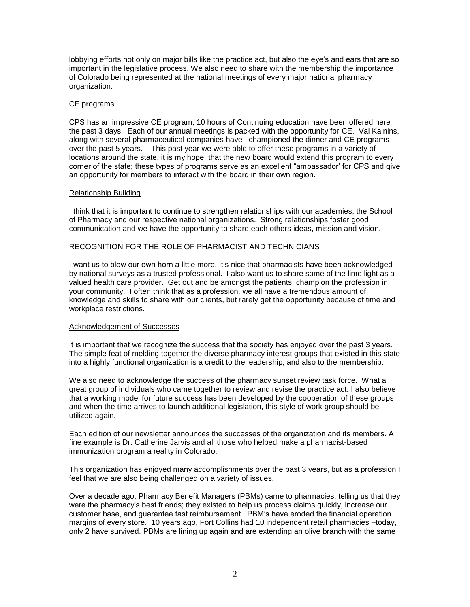lobbying efforts not only on major bills like the practice act, but also the eye's and ears that are so important in the legislative process. We also need to share with the membership the importance of Colorado being represented at the national meetings of every major national pharmacy organization.

## CE programs

CPS has an impressive CE program; 10 hours of Continuing education have been offered here the past 3 days. Each of our annual meetings is packed with the opportunity for CE. Val Kalnins, along with several pharmaceutical companies have championed the dinner and CE programs over the past 5 years. This past year we were able to offer these programs in a variety of locations around the state, it is my hope, that the new board would extend this program to every corner of the state; these types of programs serve as an excellent "ambassador' for CPS and give an opportunity for members to interact with the board in their own region.

### Relationship Building

I think that it is important to continue to strengthen relationships with our academies, the School of Pharmacy and our respective national organizations. Strong relationships foster good communication and we have the opportunity to share each others ideas, mission and vision.

# RECOGNITION FOR THE ROLE OF PHARMACIST AND TECHNICIANS

I want us to blow our own horn a little more. It's nice that pharmacists have been acknowledged by national surveys as a trusted professional. I also want us to share some of the lime light as a valued health care provider. Get out and be amongst the patients, champion the profession in your community. I often think that as a profession, we all have a tremendous amount of knowledge and skills to share with our clients, but rarely get the opportunity because of time and workplace restrictions.

### Acknowledgement of Successes

It is important that we recognize the success that the society has enjoyed over the past 3 years. The simple feat of melding together the diverse pharmacy interest groups that existed in this state into a highly functional organization is a credit to the leadership, and also to the membership.

We also need to acknowledge the success of the pharmacy sunset review task force. What a great group of individuals who came together to review and revise the practice act. I also believe that a working model for future success has been developed by the cooperation of these groups and when the time arrives to launch additional legislation, this style of work group should be utilized again.

Each edition of our newsletter announces the successes of the organization and its members. A fine example is Dr. Catherine Jarvis and all those who helped make a pharmacist-based immunization program a reality in Colorado.

This organization has enjoyed many accomplishments over the past 3 years, but as a profession I feel that we are also being challenged on a variety of issues.

Over a decade ago, Pharmacy Benefit Managers (PBMs) came to pharmacies, telling us that they were the pharmacy's best friends; they existed to help us process claims quickly, increase our customer base, and guarantee fast reimbursement. PBM's have eroded the financial operation margins of every store. 10 years ago, Fort Collins had 10 independent retail pharmacies –today, only 2 have survived. PBMs are lining up again and are extending an olive branch with the same